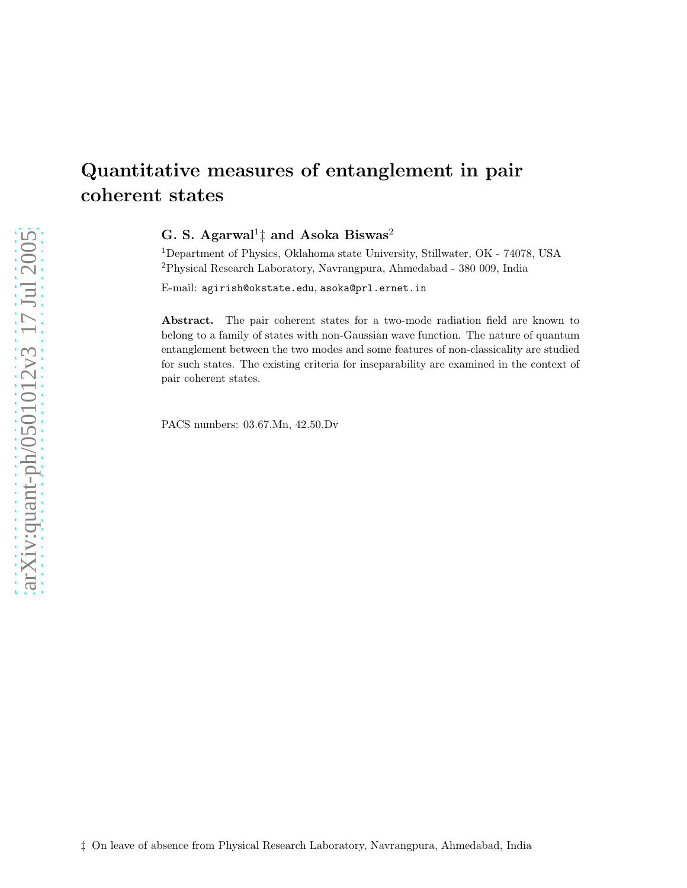# Quantitative measures of entanglement in pair coherent states

G. S. Agarwal<sup>1</sup> $\ddagger$  and Asoka Biswas<sup>2</sup>

<sup>1</sup>Department of Physics, Oklahoma state University, Stillwater, OK - 74078, USA <sup>2</sup>Physical Research Laboratory, Navrangpura, Ahmedabad - 380 009, India

E-mail: agirish@okstate.edu, asoka@prl.ernet.in

Abstract. The pair coherent states for a two-mode radiation field are known to belong to a family of states with non-Gaussian wave function. The nature of quantum entanglement between the two modes and some features of non-classicality are studied for such states. The existing criteria for inseparability are examined in the context of pair coherent states.

PACS numbers: 03.67.Mn, 42.50.Dv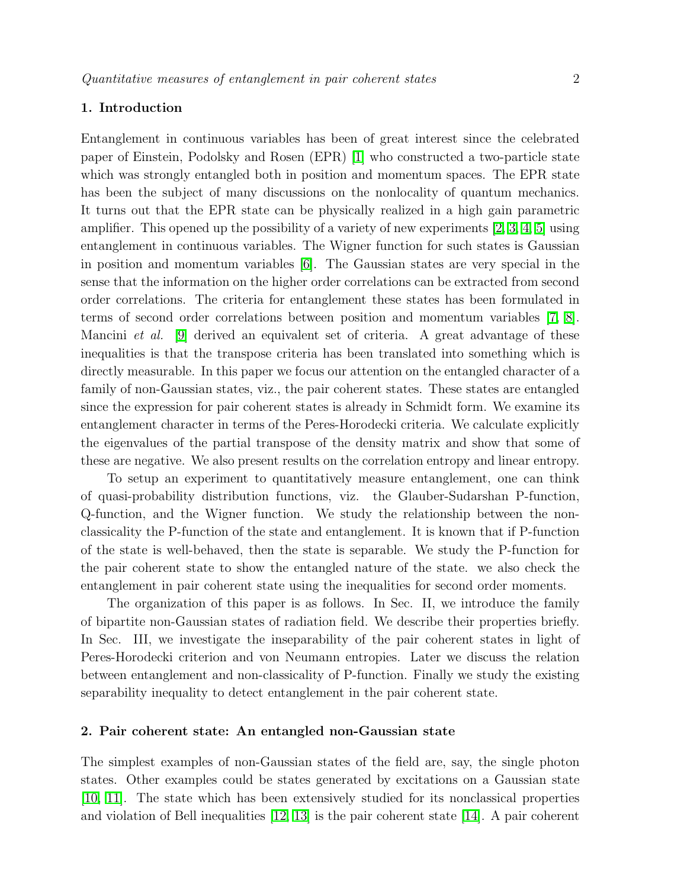# 1. Introduction

Entanglement in continuous variables has been of great interest since the celebrated paper of Einstein, Podolsky and Rosen (EPR) [\[1\]](#page-9-0) who constructed a two-particle state which was strongly entangled both in position and momentum spaces. The EPR state has been the subject of many discussions on the nonlocality of quantum mechanics. It turns out that the EPR state can be physically realized in a high gain parametric amplifier. This opened up the possibility of a variety of new experiments  $[2, 3, 4, 5]$  $[2, 3, 4, 5]$  $[2, 3, 4, 5]$  $[2, 3, 4, 5]$  using entanglement in continuous variables. The Wigner function for such states is Gaussian in position and momentum variables [\[6\]](#page-9-5). The Gaussian states are very special in the sense that the information on the higher order correlations can be extracted from second order correlations. The criteria for entanglement these states has been formulated in terms of second order correlations between position and momentum variables [\[7,](#page-9-6) [8\]](#page-9-7). Mancini et al. [\[9\]](#page-9-8) derived an equivalent set of criteria. A great advantage of these inequalities is that the transpose criteria has been translated into something which is directly measurable. In this paper we focus our attention on the entangled character of a family of non-Gaussian states, viz., the pair coherent states. These states are entangled since the expression for pair coherent states is already in Schmidt form. We examine its entanglement character in terms of the Peres-Horodecki criteria. We calculate explicitly the eigenvalues of the partial transpose of the density matrix and show that some of these are negative. We also present results on the correlation entropy and linear entropy.

To setup an experiment to quantitatively measure entanglement, one can think of quasi-probability distribution functions, viz. the Glauber-Sudarshan P-function, Q-function, and the Wigner function. We study the relationship between the nonclassicality the P-function of the state and entanglement. It is known that if P-function of the state is well-behaved, then the state is separable. We study the P-function for the pair coherent state to show the entangled nature of the state. we also check the entanglement in pair coherent state using the inequalities for second order moments.

The organization of this paper is as follows. In Sec. II, we introduce the family of bipartite non-Gaussian states of radiation field. We describe their properties briefly. In Sec. III, we investigate the inseparability of the pair coherent states in light of Peres-Horodecki criterion and von Neumann entropies. Later we discuss the relation between entanglement and non-classicality of P-function. Finally we study the existing separability inequality to detect entanglement in the pair coherent state.

## 2. Pair coherent state: An entangled non-Gaussian state

The simplest examples of non-Gaussian states of the field are, say, the single photon states. Other examples could be states generated by excitations on a Gaussian state [\[10,](#page-10-0) [11\]](#page-10-1). The state which has been extensively studied for its nonclassical properties and violation of Bell inequalities [\[12,](#page-10-2) [13\]](#page-10-3) is the pair coherent state [\[14\]](#page-10-4). A pair coherent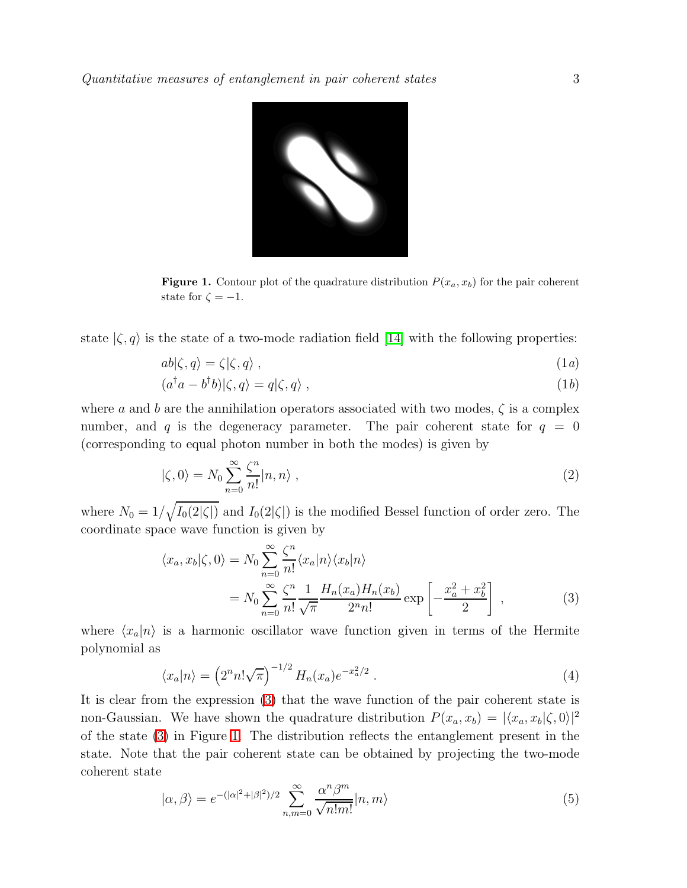

**Figure 1.** Contour plot of the quadrature distribution  $P(x_a, x_b)$  for the pair coherent state for  $\zeta = -1$ .

<span id="page-2-1"></span>state  $|\zeta, q\rangle$  is the state of a two-mode radiation field [\[14\]](#page-10-4) with the following properties:

$$
ab|\zeta, q\rangle = \zeta|\zeta, q\rangle ,\qquad (1a)
$$

$$
(a^{\dagger}a - b^{\dagger}b)|\zeta, q\rangle = q|\zeta, q\rangle , \qquad (1b)
$$

<span id="page-2-2"></span>where a and b are the annihilation operators associated with two modes,  $\zeta$  is a complex number, and q is the degeneracy parameter. The pair coherent state for  $q = 0$ (corresponding to equal photon number in both the modes) is given by

$$
|\zeta,0\rangle = N_0 \sum_{n=0}^{\infty} \frac{\zeta^n}{n!} |n,n\rangle , \qquad (2)
$$

<span id="page-2-0"></span>where  $N_0 = 1/\sqrt{I_0(2|\zeta|)}$  and  $I_0(2|\zeta|)$  is the modified Bessel function of order zero. The coordinate space wave function is given by

$$
\langle x_a, x_b | \zeta, 0 \rangle = N_0 \sum_{n=0}^{\infty} \frac{\zeta^n}{n!} \langle x_a | n \rangle \langle x_b | n \rangle
$$
  
=  $N_0 \sum_{n=0}^{\infty} \frac{\zeta^n}{n!} \frac{1}{\sqrt{\pi}} \frac{H_n(x_a) H_n(x_b)}{2^n n!} \exp\left[ -\frac{x_a^2 + x_b^2}{2} \right],$  (3)

where  $\langle x_a|n\rangle$  is a harmonic oscillator wave function given in terms of the Hermite polynomial as

$$
\langle x_a | n \rangle = \left( 2^n n! \sqrt{\pi} \right)^{-1/2} H_n(x_a) e^{-x_a^2/2} . \tag{4}
$$

It is clear from the expression [\(3\)](#page-2-0) that the wave function of the pair coherent state is non-Gaussian. We have shown the quadrature distribution  $P(x_a, x_b) = |\langle x_a, x_b | \zeta, 0 \rangle|^2$ of the state [\(3\)](#page-2-0) in Figure [1.](#page-2-1) The distribution reflects the entanglement present in the state. Note that the pair coherent state can be obtained by projecting the two-mode coherent state

$$
|\alpha,\beta\rangle = e^{-(|\alpha|^2 + |\beta|^2)/2} \sum_{n,m=0}^{\infty} \frac{\alpha^n \beta^m}{\sqrt{n!m!}} |n,m\rangle \tag{5}
$$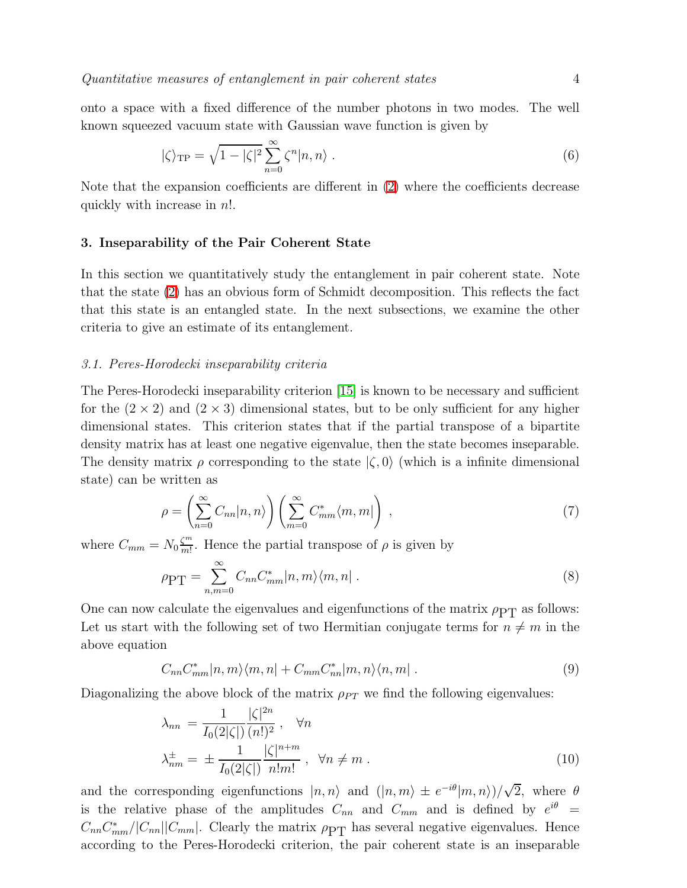<span id="page-3-1"></span>onto a space with a fixed difference of the number photons in two modes. The well known squeezed vacuum state with Gaussian wave function is given by

$$
|\zeta\rangle_{\rm TP} = \sqrt{1 - |\zeta|^2} \sum_{n=0}^{\infty} \zeta^n |n, n\rangle . \tag{6}
$$

Note that the expansion coefficients are different in [\(2\)](#page-2-2) where the coefficients decrease quickly with increase in n!.

# 3. Inseparability of the Pair Coherent State

In this section we quantitatively study the entanglement in pair coherent state. Note that the state [\(2\)](#page-2-2) has an obvious form of Schmidt decomposition. This reflects the fact that this state is an entangled state. In the next subsections, we examine the other criteria to give an estimate of its entanglement.

## 3.1. Peres-Horodecki inseparability criteria

The Peres-Horodecki inseparability criterion [\[15\]](#page-10-5) is known to be necessary and sufficient for the  $(2 \times 2)$  and  $(2 \times 3)$  dimensional states, but to be only sufficient for any higher dimensional states. This criterion states that if the partial transpose of a bipartite density matrix has at least one negative eigenvalue, then the state becomes inseparable. The density matrix  $\rho$  corresponding to the state  $(\zeta, 0)$  (which is a infinite dimensional state) can be written as

$$
\rho = \left(\sum_{n=0}^{\infty} C_{nn}|n,n\rangle\right) \left(\sum_{m=0}^{\infty} C_{mm}^* \langle m,m|\right) ,\qquad (7)
$$

<span id="page-3-0"></span>where  $C_{mm} = N_0 \frac{\zeta^m}{m!}$  $\frac{\zeta^{m}}{m!}$ . Hence the partial transpose of  $\rho$  is given by

$$
\rho_{\rm PT} = \sum_{n,m=0}^{\infty} C_{nn} C_{mm}^* |n,m\rangle \langle m,n| \ . \tag{8}
$$

One can now calculate the eigenvalues and eigenfunctions of the matrix  $\rho_{\text{PT}}$  as follows: Let us start with the following set of two Hermitian conjugate terms for  $n \neq m$  in the above equation

$$
C_{nn}C_{mm}^*[n,m\rangle\langle m,n|+C_{mm}C_{nn}^*[m,n\rangle\langle n,m|]. \qquad (9)
$$

<span id="page-3-2"></span>Diagonalizing the above block of the matrix  $\rho_{PT}$  we find the following eigenvalues:

$$
\lambda_{nn} = \frac{1}{I_0(2|\zeta|)} \frac{|\zeta|^{2n}}{(n!)^2}, \quad \forall n
$$
\n
$$
\lambda_{nm}^{\pm} = \pm \frac{1}{I_0(2|\zeta|)} \frac{|\zeta|^{n+m}}{n!m!}, \quad \forall n \neq m.
$$
\n(10)

and the corresponding eigenfunctions  $|n, n\rangle$  and  $(|n,m\rangle \pm e^{-i\theta}|m,n\rangle)/\sqrt{2}$ , where  $\theta$ is the relative phase of the amplitudes  $C_{nn}$  and  $C_{mm}$  and is defined by  $e^{i\theta}$  =  $C_{nn}C_{mm}^*/|C_{nn}||C_{mm}|$ . Clearly the matrix  $\rho_{\rm PT}$  has several negative eigenvalues. Hence according to the Peres-Horodecki criterion, the pair coherent state is an inseparable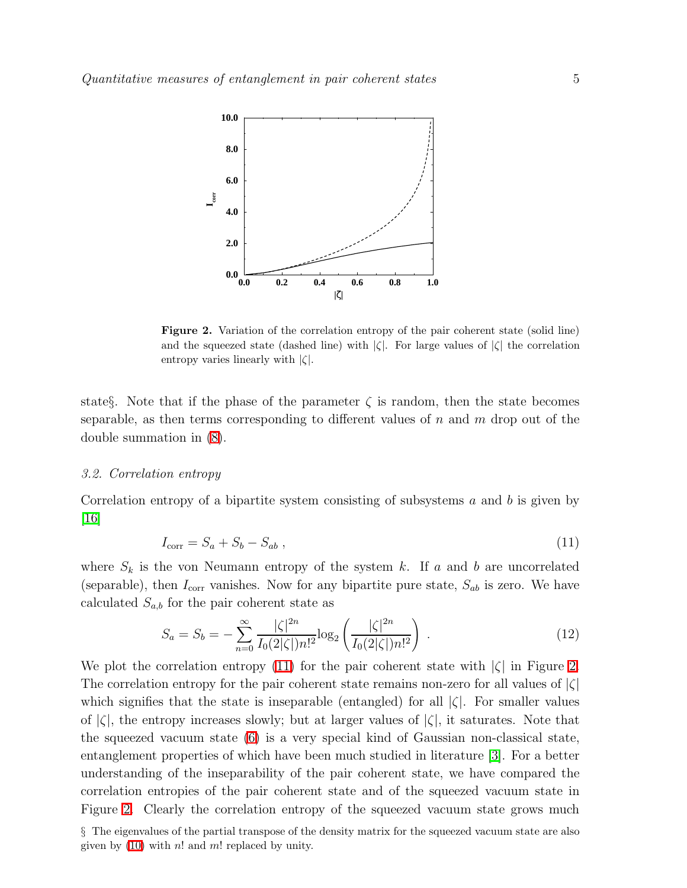

<span id="page-4-1"></span>Figure 2. Variation of the correlation entropy of the pair coherent state (solid line) and the squeezed state (dashed line) with  $|\zeta|$ . For large values of  $|\zeta|$  the correlation entropy varies linearly with  $|\zeta|$ .

state§. Note that if the phase of the parameter  $\zeta$  is random, then the state becomes separable, as then terms corresponding to different values of  $n$  and  $m$  drop out of the double summation in [\(8\)](#page-3-0).

## 3.2. Correlation entropy

<span id="page-4-0"></span>Correlation entropy of a bipartite system consisting of subsystems  $a$  and  $b$  is given by [\[16\]](#page-10-6)

$$
I_{\text{corr}} = S_a + S_b - S_{ab} \,,\tag{11}
$$

where  $S_k$  is the von Neumann entropy of the system k. If a and b are uncorrelated (separable), then  $I_{\text{corr}}$  vanishes. Now for any bipartite pure state,  $S_{ab}$  is zero. We have calculated  $S_{a,b}$  for the pair coherent state as

$$
S_a = S_b = -\sum_{n=0}^{\infty} \frac{|\zeta|^{2n}}{I_0(2|\zeta|)n!^2} \log_2\left(\frac{|\zeta|^{2n}}{I_0(2|\zeta|)n!^2}\right) \,. \tag{12}
$$

We plot the correlation entropy [\(11\)](#page-4-0) for the pair coherent state with  $|\zeta|$  in Figure [2.](#page-4-1) The correlation entropy for the pair coherent state remains non-zero for all values of  $|\zeta|$ which signifies that the state is inseparable (entangled) for all  $|\zeta|$ . For smaller values of  $|\zeta|$ , the entropy increases slowly; but at larger values of  $|\zeta|$ , it saturates. Note that the squeezed vacuum state [\(6\)](#page-3-1) is a very special kind of Gaussian non-classical state, entanglement properties of which have been much studied in literature [\[3\]](#page-9-2). For a better understanding of the inseparability of the pair coherent state, we have compared the correlation entropies of the pair coherent state and of the squeezed vacuum state in Figure [2.](#page-4-1) Clearly the correlation entropy of the squeezed vacuum state grows much

§ The eigenvalues of the partial transpose of the density matrix for the squeezed vacuum state are also given by  $(10)$  with n! and m! replaced by unity.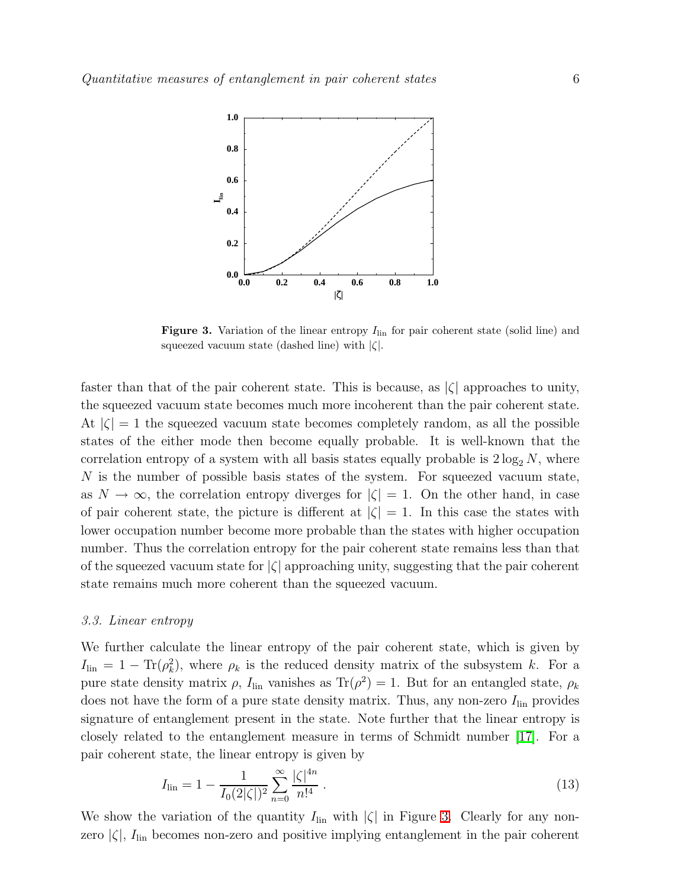

<span id="page-5-0"></span>**Figure 3.** Variation of the linear entropy  $I_{lin}$  for pair coherent state (solid line) and squeezed vacuum state (dashed line) with  $|\zeta|$ .

faster than that of the pair coherent state. This is because, as  $|\zeta|$  approaches to unity, the squeezed vacuum state becomes much more incoherent than the pair coherent state. At  $|\zeta| = 1$  the squeezed vacuum state becomes completely random, as all the possible states of the either mode then become equally probable. It is well-known that the correlation entropy of a system with all basis states equally probable is  $2 \log_2 N$ , where N is the number of possible basis states of the system. For squeezed vacuum state, as  $N \to \infty$ , the correlation entropy diverges for  $|\zeta| = 1$ . On the other hand, in case of pair coherent state, the picture is different at  $|\zeta| = 1$ . In this case the states with lower occupation number become more probable than the states with higher occupation number. Thus the correlation entropy for the pair coherent state remains less than that of the squeezed vacuum state for  $|\zeta|$  approaching unity, suggesting that the pair coherent state remains much more coherent than the squeezed vacuum.

#### 3.3. Linear entropy

We further calculate the linear entropy of the pair coherent state, which is given by  $I_{\text{lin}} = 1 - \text{Tr}(\rho_k^2)$ , where  $\rho_k$  is the reduced density matrix of the subsystem k. For a pure state density matrix  $\rho$ ,  $I_{lin}$  vanishes as  $\text{Tr}(\rho^2) = 1$ . But for an entangled state,  $\rho_k$ does not have the form of a pure state density matrix. Thus, any non-zero  $I_{lin}$  provides signature of entanglement present in the state. Note further that the linear entropy is closely related to the entanglement measure in terms of Schmidt number [\[17\]](#page-10-7). For a pair coherent state, the linear entropy is given by

$$
I_{\rm lin} = 1 - \frac{1}{I_0(2|\zeta|)^2} \sum_{n=0}^{\infty} \frac{|\zeta|^{4n}}{n!^4} \,. \tag{13}
$$

We show the variation of the quantity  $I_{lin}$  with  $|\zeta|$  in Figure [3.](#page-5-0) Clearly for any nonzero  $|\zeta|$ ,  $I_{lin}$  becomes non-zero and positive implying entanglement in the pair coherent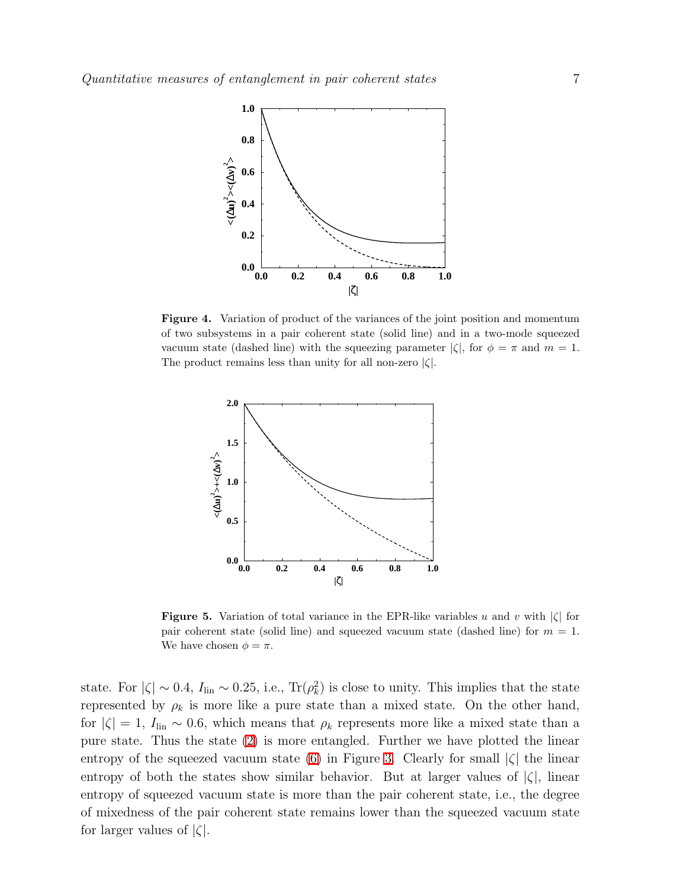

<span id="page-6-0"></span>Figure 4. Variation of product of the variances of the joint position and momentum of two subsystems in a pair coherent state (solid line) and in a two-mode squeezed vacuum state (dashed line) with the squeezing parameter  $|\zeta|$ , for  $\phi = \pi$  and  $m = 1$ . The product remains less than unity for all non-zero  $|\zeta|$ .



<span id="page-6-1"></span>**Figure 5.** Variation of total variance in the EPR-like variables u and v with  $|\zeta|$  for pair coherent state (solid line) and squeezed vacuum state (dashed line) for  $m = 1$ . We have chosen  $\phi = \pi$ .

state. For  $|\zeta| \sim 0.4$ ,  $I_{\text{lin}} \sim 0.25$ , i.e.,  $\text{Tr}(\rho_k^2)$  is close to unity. This implies that the state represented by  $\rho_k$  is more like a pure state than a mixed state. On the other hand, for  $|\zeta| = 1$ ,  $I_{lin} \sim 0.6$ , which means that  $\rho_k$  represents more like a mixed state than a pure state. Thus the state [\(2\)](#page-2-2) is more entangled. Further we have plotted the linear entropy of the squeezed vacuum state [\(6\)](#page-3-1) in Figure [3.](#page-5-0) Clearly for small  $|\zeta|$  the linear entropy of both the states show similar behavior. But at larger values of  $|\zeta|$ , linear entropy of squeezed vacuum state is more than the pair coherent state, i.e., the degree of mixedness of the pair coherent state remains lower than the squeezed vacuum state for larger values of  $|\zeta|$ .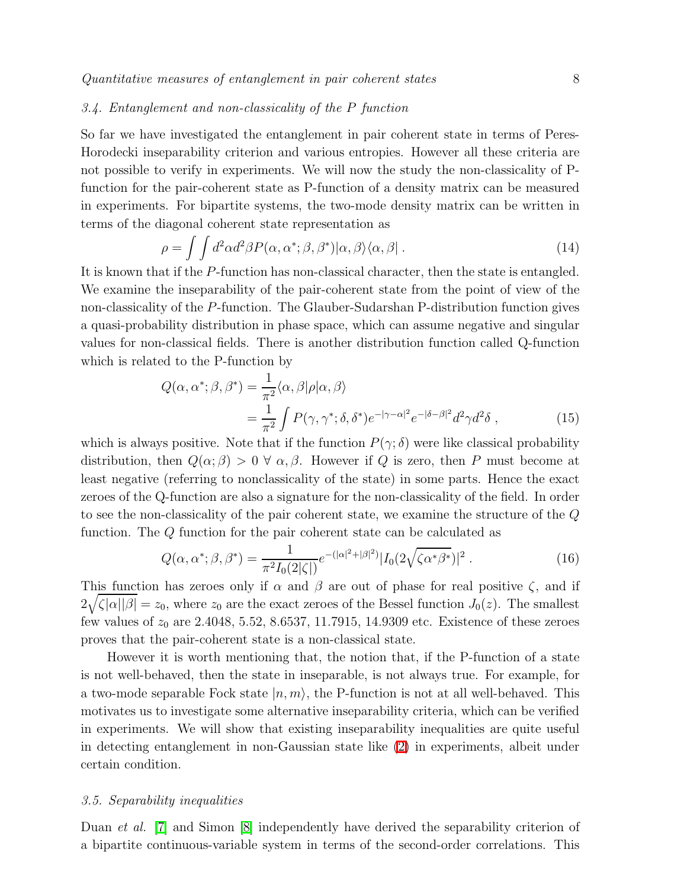# 3.4. Entanglement and non-classicality of the P function

So far we have investigated the entanglement in pair coherent state in terms of Peres-Horodecki inseparability criterion and various entropies. However all these criteria are not possible to verify in experiments. We will now the study the non-classicality of Pfunction for the pair-coherent state as P-function of a density matrix can be measured in experiments. For bipartite systems, the two-mode density matrix can be written in terms of the diagonal coherent state representation as

$$
\rho = \int \int d^2 \alpha d^2 \beta P(\alpha, \alpha^*; \beta, \beta^*) |\alpha, \beta\rangle \langle \alpha, \beta|.
$$
\n(14)

It is known that if the P-function has non-classical character, then the state is entangled. We examine the inseparability of the pair-coherent state from the point of view of the non-classicality of the P-function. The Glauber-Sudarshan P-distribution function gives a quasi-probability distribution in phase space, which can assume negative and singular values for non-classical fields. There is another distribution function called Q-function which is related to the P-function by

$$
Q(\alpha, \alpha^*; \beta, \beta^*) = \frac{1}{\pi^2} \langle \alpha, \beta | \rho | \alpha, \beta \rangle
$$
  
= 
$$
\frac{1}{\pi^2} \int P(\gamma, \gamma^*; \delta, \delta^*) e^{-|\gamma - \alpha|^2} e^{-|\delta - \beta|^2} d^2 \gamma d^2 \delta ,
$$
 (15)

which is always positive. Note that if the function  $P(\gamma; \delta)$  were like classical probability distribution, then  $Q(\alpha;\beta) > 0 \,\forall \alpha,\beta$ . However if Q is zero, then P must become at least negative (referring to nonclassicality of the state) in some parts. Hence the exact zeroes of the Q-function are also a signature for the non-classicality of the field. In order to see the non-classicality of the pair coherent state, we examine the structure of the Q function. The Q function for the pair coherent state can be calculated as

$$
Q(\alpha, \alpha^*; \beta, \beta^*) = \frac{1}{\pi^2 I_0(2|\zeta|)} e^{-(|\alpha|^2 + |\beta|^2)} |I_0(2\sqrt{\zeta \alpha^* \beta^*})|^2.
$$
 (16)

This function has zeroes only if  $\alpha$  and  $\beta$  are out of phase for real positive  $\zeta$ , and if  $2\sqrt{\zeta|\alpha||\beta|} = z_0$ , where  $z_0$  are the exact zeroes of the Bessel function  $J_0(z)$ . The smallest few values of  $z_0$  are 2.4048, 5.52, 8.6537, 11.7915, 14.9309 etc. Existence of these zeroes proves that the pair-coherent state is a non-classical state.

However it is worth mentioning that, the notion that, if the P-function of a state is not well-behaved, then the state in inseparable, is not always true. For example, for a two-mode separable Fock state  $|n, m\rangle$ , the P-function is not at all well-behaved. This motivates us to investigate some alternative inseparability criteria, which can be verified in experiments. We will show that existing inseparability inequalities are quite useful in detecting entanglement in non-Gaussian state like [\(2\)](#page-2-2) in experiments, albeit under certain condition.

# 3.5. Separability inequalities

Duan *et al.* [\[7\]](#page-9-6) and Simon [\[8\]](#page-9-7) independently have derived the separability criterion of a bipartite continuous-variable system in terms of the second-order correlations. This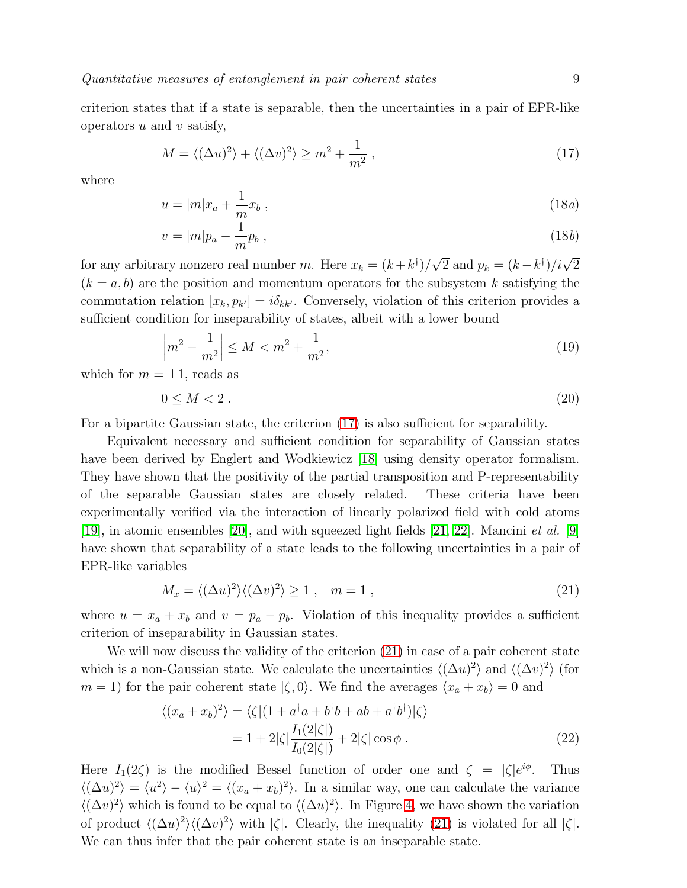<span id="page-8-0"></span>criterion states that if a state is separable, then the uncertainties in a pair of EPR-like operators  $u$  and  $v$  satisfy,

$$
M = \langle (\Delta u)^2 \rangle + \langle (\Delta v)^2 \rangle \ge m^2 + \frac{1}{m^2}, \qquad (17)
$$

where

$$
u = |m|x_a + \frac{1}{m}x_b , \qquad (18a)
$$

$$
v = |m|p_a - \frac{1}{m}p_b \,,\tag{18b}
$$

for any arbitrary nonzero real number m. Here  $x_k = (k + k^{\dagger})/\sqrt{2}$  and  $p_k = (k - k^{\dagger})/i\sqrt{2}$  $(k = a, b)$  are the position and momentum operators for the subsystem k satisfying the commutation relation  $[x_k, p_{k'}] = i\delta_{kk'}$ . Conversely, violation of this criterion provides a sufficient condition for inseparability of states, albeit with a lower bound

$$
\left| m^2 - \frac{1}{m^2} \right| \le M < m^2 + \frac{1}{m^2},\tag{19}
$$

<span id="page-8-2"></span>which for  $m = \pm 1$ , reads as

$$
0 \le M < 2 \tag{20}
$$

For a bipartite Gaussian state, the criterion [\(17\)](#page-8-0) is also sufficient for separability.

Equivalent necessary and sufficient condition for separability of Gaussian states have been derived by Englert and Wodkiewicz [\[18\]](#page-10-8) using density operator formalism. They have shown that the positivity of the partial transposition and P-representability of the separable Gaussian states are closely related. These criteria have been experimentally verified via the interaction of linearly polarized field with cold atoms [\[19\]](#page-10-9), in atomic ensembles [\[20\]](#page-10-10), and with squeezed light fields [\[21,](#page-10-11) [22\]](#page-10-12). Mancini et al. [\[9\]](#page-9-8) have shown that separability of a state leads to the following uncertainties in a pair of EPR-like variables

$$
M_x = \langle (\Delta u)^2 \rangle \langle (\Delta v)^2 \rangle \ge 1 , \quad m = 1 , \tag{21}
$$

<span id="page-8-1"></span>where  $u = x_a + x_b$  and  $v = p_a - p_b$ . Violation of this inequality provides a sufficient criterion of inseparability in Gaussian states.

We will now discuss the validity of the criterion [\(21\)](#page-8-1) in case of a pair coherent state which is a non-Gaussian state. We calculate the uncertainties  $\langle (\Delta u)^2 \rangle$  and  $\langle (\Delta v)^2 \rangle$  (for  $m = 1$ ) for the pair coherent state  $|\zeta, 0\rangle$ . We find the averages  $\langle x_a + x_b \rangle = 0$  and

$$
\langle (x_a + x_b)^2 \rangle = \langle \zeta | (1 + a^\dagger a + b^\dagger b + ab + a^\dagger b^\dagger) | \zeta \rangle
$$
  
= 1 + 2|\zeta| \frac{I\_1(2|\zeta|)}{I\_0(2|\zeta|)} + 2|\zeta| \cos \phi . (22)

Here  $I_1(2\zeta)$  is the modified Bessel function of order one and  $\zeta = |\zeta|e^{i\phi}$ . Thus  $\langle (\Delta u)^2 \rangle = \langle u^2 \rangle - \langle u \rangle^2 = \langle (x_a + x_b)^2 \rangle$ . In a similar way, one can calculate the variance  $\langle (\Delta v)^2 \rangle$  which is found to be equal to  $\langle (\Delta u)^2 \rangle$ . In Figure [4,](#page-6-0) we have shown the variation of product  $\langle (\Delta u)^2 \rangle \langle (\Delta v)^2 \rangle$  with  $|\zeta|$ . Clearly, the inequality [\(21\)](#page-8-1) is violated for all  $|\zeta|$ . We can thus infer that the pair coherent state is an inseparable state.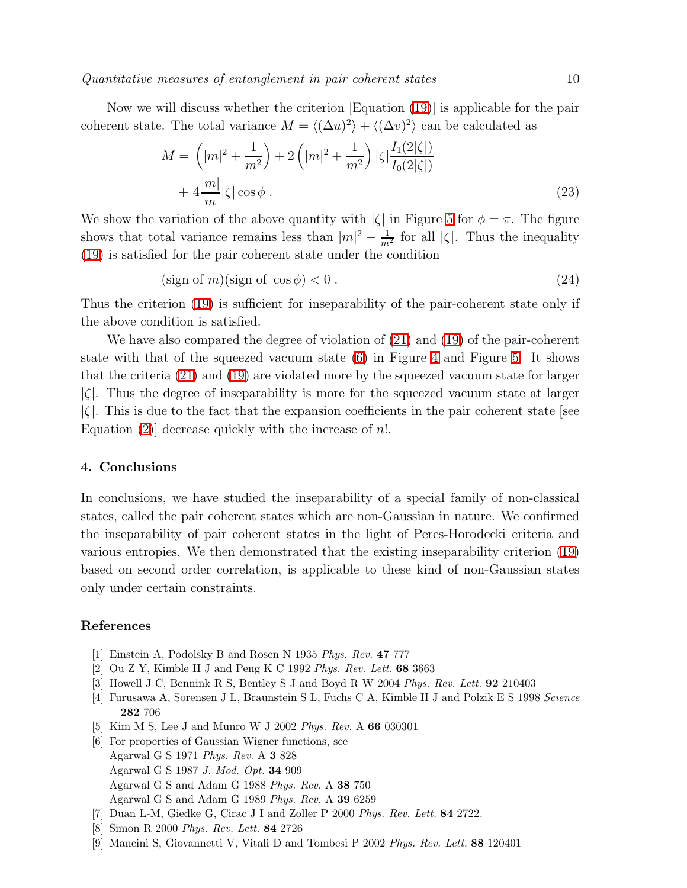Now we will discuss whether the criterion [Equation [\(19\)](#page-8-2)] is applicable for the pair coherent state. The total variance  $M = \langle (\Delta u)^2 \rangle + \langle (\Delta v)^2 \rangle$  can be calculated as

$$
M = \left(|m|^2 + \frac{1}{m^2}\right) + 2\left(|m|^2 + \frac{1}{m^2}\right)|\zeta|\frac{I_1(2|\zeta|)}{I_0(2|\zeta|)} + 4\frac{|m|}{m}|\zeta|\cos\phi\,. \tag{23}
$$

We show the variation of the above quantity with  $|\zeta|$  in Figure [5](#page-6-1) for  $\phi = \pi$ . The figure shows that total variance remains less than  $|m|^2 + \frac{1}{m^2}$  for all  $|\zeta|$ . Thus the inequality [\(19\)](#page-8-2) is satisfied for the pair coherent state under the condition

 $(\text{sign of } m)(\text{sign of } \cos \phi) < 0.$  (24)

Thus the criterion [\(19\)](#page-8-2) is sufficient for inseparability of the pair-coherent state only if the above condition is satisfied.

We have also compared the degree of violation of [\(21\)](#page-8-1) and [\(19\)](#page-8-2) of the pair-coherent state with that of the squeezed vacuum state  $(6)$  in Figure [4](#page-6-0) and Figure [5.](#page-6-1) It shows that the criteria [\(21\)](#page-8-1) and [\(19\)](#page-8-2) are violated more by the squeezed vacuum state for larger  $|\zeta|$ . Thus the degree of inseparability is more for the squeezed vacuum state at larger  $|\zeta|$ . This is due to the fact that the expansion coefficients in the pair coherent state [see Equation  $(2)$  decrease quickly with the increase of n!.

## 4. Conclusions

In conclusions, we have studied the inseparability of a special family of non-classical states, called the pair coherent states which are non-Gaussian in nature. We confirmed the inseparability of pair coherent states in the light of Peres-Horodecki criteria and various entropies. We then demonstrated that the existing inseparability criterion [\(19\)](#page-8-2) based on second order correlation, is applicable to these kind of non-Gaussian states only under certain constraints.

# <span id="page-9-2"></span><span id="page-9-1"></span><span id="page-9-0"></span>References

- [1] Einstein A, Podolsky B and Rosen N 1935 Phys. Rev. 47 777
- [2] Ou Z Y, Kimble H J and Peng K C 1992 Phys. Rev. Lett. 68 3663
- <span id="page-9-3"></span>[3] Howell J C, Bennink R S, Bentley S J and Boyd R W 2004 Phys. Rev. Lett. 92 210403
- <span id="page-9-4"></span>[4] Furusawa A, Sorensen J L, Braunstein S L, Fuchs C A, Kimble H J and Polzik E S 1998 Science 282 706
- <span id="page-9-5"></span>[5] Kim M S, Lee J and Munro W J 2002 Phys. Rev. A 66 030301
- [6] For properties of Gaussian Wigner functions, see Agarwal G S 1971 Phys. Rev. A 3 828 Agarwal G S 1987 J. Mod. Opt. 34 909 Agarwal G S and Adam G 1988 Phys. Rev. A 38 750 Agarwal G S and Adam G 1989 Phys. Rev. A 39 6259
- <span id="page-9-7"></span><span id="page-9-6"></span>[7] Duan L-M, Giedke G, Cirac J I and Zoller P 2000 Phys. Rev. Lett. 84 2722.
- <span id="page-9-8"></span>[8] Simon R 2000 Phys. Rev. Lett. 84 2726
- [9] Mancini S, Giovannetti V, Vitali D and Tombesi P 2002 Phys. Rev. Lett. 88 120401